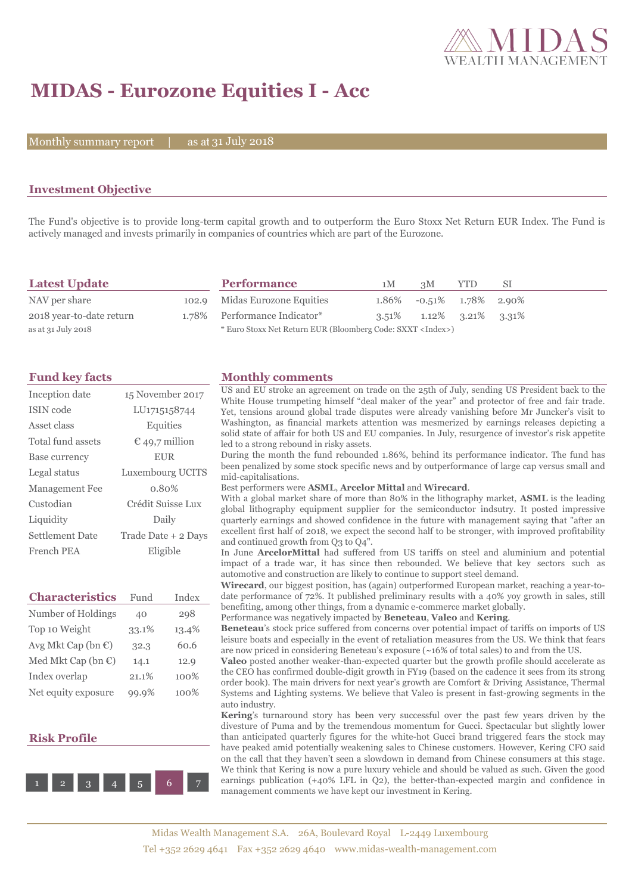

# **MIDAS - Eurozone Equities I - Acc**

Monthly summary report  $|$ 

31 July 2018

## **Investment Objective**

The Fund's objective is to provide long-term capital growth and to outperform the Euro Stoxx Net Return EUR Index. The Fund is actively managed and invests primarily in companies of countries which are part of the Eurozone.

| <b>Latest Update</b>     | <b>Performance</b>                                                 | 1M | 3M                                  | <b>YTD</b> | -SI |
|--------------------------|--------------------------------------------------------------------|----|-------------------------------------|------------|-----|
| NAV per share            | 102.9 Midas Eurozone Equities                                      |    | $1.86\%$ -0.51% $1.78\%$ 2.90%      |            |     |
| 2018 year-to-date return | 1.78% Performance Indicator*                                       |    | $3.51\%$ $1.12\%$ $3.21\%$ $3.31\%$ |            |     |
| as at 31 July 2018       | * Euro Stoxx Net Return EUR (Bloomberg Code: SXXT <index>)</index> |    |                                     |            |     |

| Inception date         | 15 November 2017        |
|------------------------|-------------------------|
| ISIN code              | LU1715158744            |
| Asset class            | Equities                |
| Total fund assets      | $\epsilon$ 49,7 million |
| Base currency          | <b>EUR</b>              |
| Legal status           | Luxembourg UCITS        |
| <b>Management Fee</b>  | 0.80%                   |
| Custodian              | Crédit Suisse Lux       |
| Liquidity              | Daily                   |
| <b>Settlement Date</b> | Trade Date + 2 Days     |
| French PEA             | Eligible                |

| <b>Characteristics</b>         | Fund  | Index |
|--------------------------------|-------|-------|
| Number of Holdings             | 40    | 298   |
| Top 10 Weight                  | 33.1% | 13.4% |
| Avg Mkt Cap (bn $\mathbb{C}$ ) | 32.3  | 60.6  |
| Med Mkt Cap (bn $\mathbb{C}$ ) | 14.1  | 12.9  |
| Index overlap                  | 21.1% | 100%  |
| Net equity exposure            | 99.9% | 100%  |

### **Risk Profile**



## **Fund key facts Monthly comments**

US and EU stroke an agreement on trade on the 25th of July, sending US President back to the White House trumpeting himself "deal maker of the year" and protector of free and fair trade. Yet, tensions around global trade disputes were already vanishing before Mr Juncker's visit to Washington, as financial markets attention was mesmerized by earnings releases depicting a solid state of affair for both US and EU companies. In July, resurgence of investor's risk appetite led to a strong rebound in risky assets.

During the month the fund rebounded 1.86%, behind its performance indicator. The fund has been penalized by some stock specific news and by outperformance of large cap versus small and mid-capitalisations.

#### Best performers were **ASML**, **Arcelor Mittal** and **Wirecard**.

With a global market share of more than 80% in the lithography market, **ASML** is the leading global lithography equipment supplier for the semiconductor indsutry. It posted impressive quarterly earnings and showed confidence in the future with management saying that "after an excellent first half of 2018, we expect the second half to be stronger, with improved profitability and continued growth from Q3 to Q4".

In June **ArcelorMittal** had suffered from US tariffs on steel and aluminium and potential impact of a trade war, it has since then rebounded. We believe that key sectors such as automotive and construction are likely to continue to support steel demand.

**Wirecard**, our biggest position, has (again) outperformed European market, reaching a year-todate performance of 72%. It published preliminary results with a 40% yoy growth in sales, still benefiting, among other things, from a dynamic e-commerce market globally.

Performance was negatively impacted by **Beneteau**, **Valeo** and **Kering**.

**Beneteau**'s stock price suffered from concerns over potential impact of tariffs on imports of US leisure boats and especially in the event of retaliation measures from the US. We think that fears are now priced in considering Beneteau's exposure (~16% of total sales) to and from the US.

**Valeo** posted another weaker-than-expected quarter but the growth profile should accelerate as the CEO has confirmed double-digit growth in FY19 (based on the cadence it sees from its strong order book). The main drivers for next year's growth are Comfort & Driving Assistance, Thermal Systems and Lighting systems. We believe that Valeo is present in fast-growing segments in the auto industry.

**Kering**'s turnaround story has been very successful over the past few years driven by the divesture of Puma and by the tremendous momentum for Gucci. Spectacular but slightly lower than anticipated quarterly figures for the white-hot Gucci brand triggered fears the stock may have peaked amid potentially weakening sales to Chinese customers. However, Kering CFO said on the call that they haven't seen a slowdown in demand from Chinese consumers at this stage. We think that Kering is now a pure luxury vehicle and should be valued as such. Given the good earnings publication (+40% LFL in Q2), the better-than-expected margin and confidence in management comments we have kept our investment in Kering.